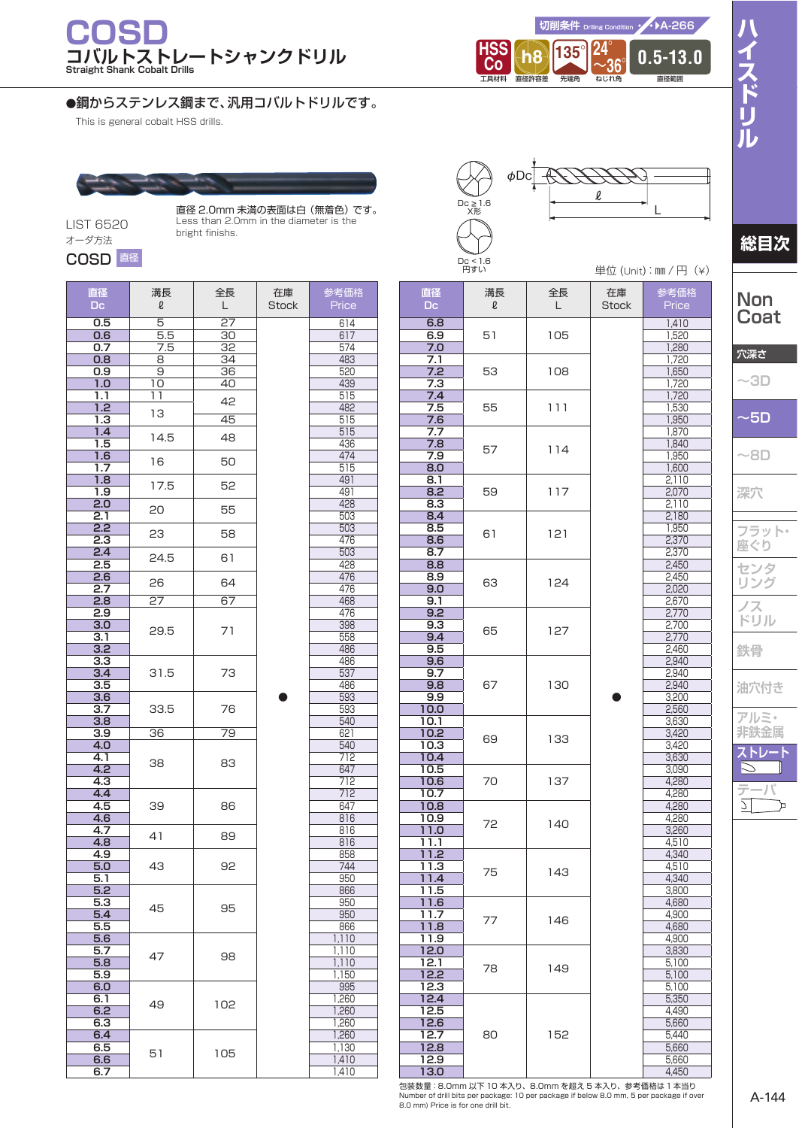## ●鋼からステンレス鋼まで、汎用コバルトドリルです。

This is general cobalt HSS drills.

直径範囲 **0.5-13.0**

LIST 6520 オーダ方法

COSD 直径

直径 2.0mm 未満の表面は白(無着色)です。 Less than 2.0mm in the diameter is the bright finishs.

 $\phi$ Dc  $R$ FFF ℓ Dc ≥ 1.6<br>X形 L

工具材料 直径許容差

**h8**

先端角 **135**°

**HSS Co**

**切削条件 Driling Condition •** • **A-266** 

ねじれ角 **24**° ~**36**°

| 直径<br>Dc         | 溝長<br>ℓ          | 全長<br>L         | 在庫<br><b>Stock</b> | 参考価<br>Price       |
|------------------|------------------|-----------------|--------------------|--------------------|
| 0.5              | $\overline{5}$   | $\overline{27}$ |                    | 614                |
| 0.6              | $\overline{5.5}$ | 30              |                    | 617                |
| 0.7              | 7.5              | 32              |                    | 574                |
| 0.8              | 8                | 34              |                    | 483                |
| 0.9              | 9                | 36              |                    | 520                |
| 1.0              | 10               | 40              |                    | 439                |
| 1.1              | 11               |                 |                    | 515                |
| 1.2              |                  | 42              |                    | 482                |
| 1.3              | 13               | 45              |                    | 515                |
| 1.4              |                  |                 |                    | 515                |
| 1.5              | 14.5             | 48              |                    | 436                |
| 1.6              |                  |                 |                    | 474                |
| 1.7              | 16               | 50              |                    | 515                |
| 1.8              |                  |                 |                    | 491                |
| 1.9              | 17.5             | 52              |                    | 491                |
| 2.0              |                  |                 |                    | 428                |
| 2.1              | 20               | 55              |                    | 503                |
| 2.2              |                  |                 |                    | 503                |
| $\overline{2.3}$ | 23               | 58              |                    | 476                |
| 2.4              |                  |                 |                    | 503                |
| 2.5              | 24.5             | 61              |                    | 428                |
| 2.6              |                  |                 |                    | 476                |
| 2.7              | 26               | 64              |                    | 476                |
| 2.8              | $\overline{27}$  | $\overline{67}$ |                    | 468                |
| 2.9              |                  |                 |                    | 476                |
| 3.0              |                  |                 |                    | 398                |
| 3.1              | 29.5             | 71              |                    | 558                |
| 3.2              |                  |                 |                    | 486                |
| 3.3              |                  |                 |                    | 486                |
| $\frac{1}{3.4}$  | 31.5             | 73              |                    | 537                |
| 3.5              |                  |                 |                    | 486                |
| 3.6              |                  |                 |                    | 593                |
| 3.7              | 33.5             | 76              |                    | 593                |
| 3.8              |                  |                 |                    | 540                |
| 3.9              | $\overline{36}$  | 79              |                    | 621                |
| 4.0              |                  |                 |                    | 540                |
| 4.1              |                  |                 |                    | $\frac{1}{712}$    |
| 4.2              | 38               | 83              |                    | 647                |
| 4.3              |                  |                 |                    | 712                |
| 4.4              |                  |                 |                    | 712                |
| 4.5              | 39               | 86              |                    | 647                |
| 4.6              |                  |                 |                    | 816                |
| 4.7              |                  |                 |                    | 816                |
| 4.8              | 41               | 89              |                    | 816                |
| 4.9              |                  |                 |                    | 858                |
| 5.0              | 43               | 92              |                    | 744                |
| 5.1              |                  |                 |                    | 950                |
| 5.2              |                  |                 |                    | 866                |
| 5.3              |                  |                 |                    | 950                |
| 5.4              | 45               | 95              |                    | 950                |
| 5.5              |                  |                 |                    | 866                |
| 5.6              |                  |                 |                    | $\overline{1,1}10$ |
| 5.7              |                  |                 |                    | 1.110              |
| 5.8              | 47               | 98              |                    | 1,110              |
| 5.9              |                  |                 |                    | 1,150              |
| 6.0              |                  |                 |                    | 995                |
| 6.1              |                  |                 |                    | 1,260              |
| 6.2              | 49               | 102             |                    | 1,260              |
| 6.3              |                  |                 |                    | 1,260              |
| 6.4              |                  |                 |                    | 1,260              |
| 6.5              |                  |                 |                    | 1,130              |
| 6.6              | 51               | 105             |                    | 1.410              |

| b∐ <sup>≋</sup>         |      |     |              |            |  |  |
|-------------------------|------|-----|--------------|------------|--|--|
| 眰                       | 溝長   | 全長  | 在庫           | 参考価格       |  |  |
| рc                      | e    | L   | <b>Stock</b> | Price      |  |  |
| 0.5                     | 5    | 27  |              | 614        |  |  |
| 0.6                     | 5.5  | 30  |              | 617        |  |  |
| 0.7                     | 7.5  | 32  |              | 574        |  |  |
| 0.8                     | 8    | 34  |              | 483        |  |  |
| 0.9                     | 9    | 36  |              | 520        |  |  |
| 1.0                     | 10   | 40  |              | 439        |  |  |
| 1.1                     | 11   | 42  |              | 515        |  |  |
| 1.2                     | 13   |     |              | 482        |  |  |
| 1.3                     |      | 45  |              | 515        |  |  |
| 1.4                     | 14.5 | 48  |              | 515        |  |  |
| 1.5<br>1.6              |      |     |              | 436        |  |  |
|                         | 16   | 50  |              | 474<br>515 |  |  |
| 1.7<br>$\overline{1.8}$ |      |     |              | 491        |  |  |
| 1.9                     | 17.5 | 52  |              | 491        |  |  |
| 2.0                     |      |     |              | 428        |  |  |
| 2.1                     | 20   | 55  |              | 503        |  |  |
| 2.2                     |      |     |              | 503        |  |  |
| 2.3                     | 23   | 58  |              | 476        |  |  |
| 2.4                     |      |     |              | 503        |  |  |
| 2.5                     | 24.5 | 61  |              | 428        |  |  |
| 2.6                     | 26   | 64  |              | 476        |  |  |
| 2.7                     |      |     |              | 476        |  |  |
| 2.8                     | 27   | 67  |              | 468        |  |  |
| 2.9                     |      |     |              | 476        |  |  |
| 3.0                     | 29.5 | 71  |              | 398        |  |  |
| 3.1                     |      |     |              | 558        |  |  |
| 3.2                     |      |     |              | 486        |  |  |
| 3.3                     |      |     |              | 486        |  |  |
| 3.4                     | 31.5 | 73  |              | 537        |  |  |
| 3.5<br>3.6              |      |     |              | 486<br>593 |  |  |
| 3.7                     | 33.5 | 76  |              | 593        |  |  |
| 3.8                     |      |     |              | 540        |  |  |
| 3.9                     | 36   | 79  |              | 621        |  |  |
| 4.0                     |      |     |              | 540        |  |  |
| 4.1                     |      |     |              | 712        |  |  |
| 4.2                     | 38   | 83  |              | 647        |  |  |
| 4.3                     |      |     |              | 712        |  |  |
| 4.4                     |      |     |              | 712        |  |  |
| 4.5                     | 39   | 86  |              | 647        |  |  |
| 4.6                     |      |     |              | 816        |  |  |
| 4.7                     | 41   | 89  |              | 816        |  |  |
| 4.8                     |      |     |              | 816        |  |  |
| 4.9                     |      |     |              | 858        |  |  |
| 5.0                     | 43   | 92  |              | 744<br>950 |  |  |
| 5.1<br>5.2              |      |     |              | 866        |  |  |
| 5.3                     |      |     |              | 950        |  |  |
| 5.4                     | 45   | 95  |              | 950        |  |  |
| 5.5                     |      |     |              | 866        |  |  |
| 5.6                     |      |     |              | 1,110      |  |  |
| 5.7                     |      |     |              | 1,110      |  |  |
| 5.8                     | 47   | 98  |              | 1,110      |  |  |
| 5.9                     |      |     |              | 1,150      |  |  |
| 6.0                     |      |     |              | 995        |  |  |
| 6.1                     | 49   | 102 |              | 1,260      |  |  |
| 6.2                     |      |     |              | 1,260      |  |  |
| 6.3                     |      |     |              | 1,260      |  |  |
| 6.4                     |      |     |              | 1,260      |  |  |
| 6.5                     | 51   | 105 |              | 1,130      |  |  |
| 6.6                     |      |     |              | 1,410      |  |  |
| 6.7                     |      |     |              | 1,410      |  |  |

|                                     | Dc < 1.6<br>円すい |         | 単位(Unit):mm/円(\)   |                                  |  |  |  |
|-------------------------------------|-----------------|---------|--------------------|----------------------------------|--|--|--|
| 直径<br>Dc                            | 溝長<br>e         | 全長<br>L | 在庫<br><b>Stock</b> | 参考価格<br>Price                    |  |  |  |
| 6.8<br>6.9<br>7.0                   | 51              | 105     |                    | 1,410<br>1,520<br>1,280          |  |  |  |
| 7.1<br>7.2<br>$\overline{2.3}$      | 53              | 108     |                    | 1,720<br>1,650<br>1,720          |  |  |  |
| 7.4<br>7.5<br>7.6                   | 55              | 111     |                    | 1,720<br>1,530<br>1,950          |  |  |  |
| 7.7<br>7.8<br>7.9                   | 57              | 114     |                    | 1,870<br>1,840<br>1,950          |  |  |  |
| 8.0<br>8.1<br>8.2                   | 59              | 117     |                    | 1,600<br>2,110<br>2,070          |  |  |  |
| 8.3<br>8.4<br>8.5                   |                 |         |                    | 2,110<br>2,180<br>1,950          |  |  |  |
| 8.6<br>8.7<br>8.8                   | 61              | 121     |                    | 2,370<br>2,370<br>2,450          |  |  |  |
| 8.9<br>9.0<br>9.1                   | 63              | 124     |                    | 2.450<br>2,020<br>2,670          |  |  |  |
| $\overline{9.2}$<br>9.3<br>9.4      | 65              | 127     |                    | 2.770<br>2,700<br>2,770          |  |  |  |
| 9.5<br>9.6<br>9.7                   |                 |         |                    | 2,460<br>2,940<br>2,940          |  |  |  |
| 9.8<br>9.9<br>10.0                  | 67              | 130     |                    | 2,940<br>3,200<br>2,560          |  |  |  |
| 10.1<br>10.2<br>10.3                | 69              | 133     |                    |                                  |  |  |  |
| 10.4<br>10.5<br>10.6<br>10.7        | 70              | 137     |                    | 3,630<br>3,090<br>4,280<br>4,280 |  |  |  |
| 10.8<br>10.9<br>11.0<br>11.1        | 72              | 140     |                    | 4,280<br>4,280<br>3,260<br>4,510 |  |  |  |
| 11.2<br>11.3<br>11.4<br>11.5        | 75              | 143     |                    | 4,340<br>4,510<br>4,340<br>3.800 |  |  |  |
| 11.6<br>11.7<br>11.8<br><u>11.9</u> | 77              | 146     |                    | 4,680<br>4,900<br>4,680<br>4,900 |  |  |  |
| 12.0<br>12.1<br>12.2<br>12.3        | 78              | 149     |                    | 3,830<br>5,100<br>5,100<br>5,100 |  |  |  |
| 12.4<br>12.5<br>12.6<br>12.7        | 80              | 152     |                    | 5,350<br>4,490<br>5,660<br>5,440 |  |  |  |
| 12.8<br>12.9<br>13.0                |                 |         |                    | 5,660<br>5,660<br>4,450          |  |  |  |

包装数量:8.0mm 以下 10 本入り、8.0mm を超え 5 本入り、参考価格は 1 本当り Number of drill bits per package: 10 per package if below 8.0 mm, 5 per package if over 8.0 mm) Price is for one drill bit.

## **総目次**

**Non Coat**

**ハ イ ス ド リ ル**

| 穴深さ          |
|--------------|
| -3D          |
| $\sim$ 5D    |
| -8D          |
| 深穴           |
|              |
| フラット・<br>座ぐり |
| センタ<br>IJ    |
| ノス<br>ドリル    |
| 鉄骨           |
| 油穴付き         |
|              |